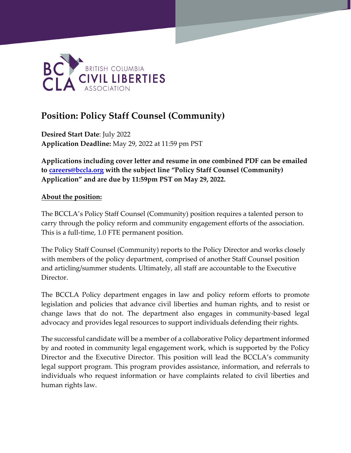

# **Position: Policy Staff Counsel (Community)**

**Desired Start Date**: July 2022 **Application Deadline:** May 29, 2022 at 11:59 pm PST

**Applications including cover letter and resume in one combined PDF can be emailed to [careers@bccla.org](mailto:careers@bccla.org) with the subject line "Policy Staff Counsel (Community) Application" and are due by 11:59pm PST on May 29, 2022.**

## **About the position:**

The BCCLA's Policy Staff Counsel (Community) position requires a talented person to carry through the policy reform and community engagement efforts of the association. This is a full-time, 1.0 FTE permanent position.

The Policy Staff Counsel (Community) reports to the Policy Director and works closely with members of the policy department, comprised of another Staff Counsel position and articling/summer students. Ultimately, all staff are accountable to the Executive Director.

The BCCLA Policy department engages in law and policy reform efforts to promote legislation and policies that advance civil liberties and human rights, and to resist or change laws that do not. The department also engages in community-based legal advocacy and provides legal resources to support individuals defending their rights.

The successful candidate will be a member of a collaborative Policy department informed by and rooted in community legal engagement work, which is supported by the Policy Director and the Executive Director. This position will lead the BCCLA's community legal support program. This program provides assistance, information, and referrals to individuals who request information or have complaints related to civil liberties and human rights law.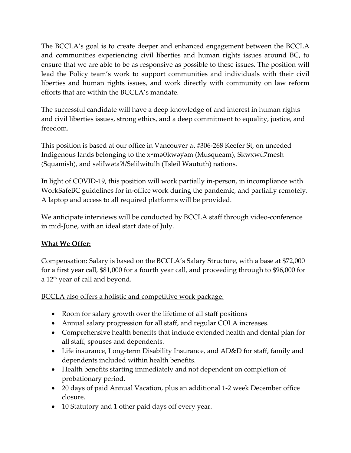The BCCLA's goal is to create deeper and enhanced engagement between the BCCLA and communities experiencing civil liberties and human rights issues around BC, to ensure that we are able to be as responsive as possible to these issues. The position will lead the Policy team's work to support communities and individuals with their civil liberties and human rights issues, and work directly with community on law reform efforts that are within the BCCLA's mandate.

The successful candidate will have a deep knowledge of and interest in human rights and civil liberties issues, strong ethics, and a deep commitment to equality, justice, and freedom.

This position is based at our office in Vancouver at #306-268 Keefer St, on unceded Indigenous lands belonging to the xʷməθkwəy̓əm (Musqueam), Skwxwú7mesh (Squamish), and səlil̓wətaʔɬ/Selilwitulh (Tsleil Waututh) nations.

In light of COVID-19, this position will work partially in-person, in incompliance with WorkSafeBC guidelines for in-office work during the pandemic, and partially remotely. A laptop and access to all required platforms will be provided.

We anticipate interviews will be conducted by BCCLA staff through video-conference in mid-June, with an ideal start date of July.

# **What We Offer:**

Compensation: Salary is based on the BCCLA's Salary Structure, with a base at \$72,000 for a first year call, \$81,000 for a fourth year call, and proceeding through to \$96,000 for a 12th year of call and beyond.

BCCLA also offers a holistic and competitive work package:

- Room for salary growth over the lifetime of all staff positions
- Annual salary progression for all staff, and regular COLA increases.
- Comprehensive health benefits that include extended health and dental plan for all staff, spouses and dependents.
- Life insurance, Long-term Disability Insurance, and AD&D for staff, family and dependents included within health benefits.
- Health benefits starting immediately and not dependent on completion of probationary period.
- 20 days of paid Annual Vacation, plus an additional 1-2 week December office closure.
- 10 Statutory and 1 other paid days off every year.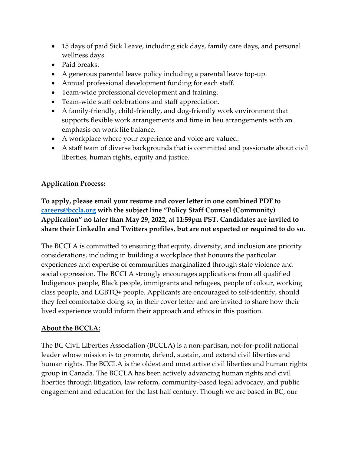- 15 days of paid Sick Leave, including sick days, family care days, and personal wellness days.
- Paid breaks.
- A generous parental leave policy including a parental leave top-up.
- Annual professional development funding for each staff.
- Team-wide professional development and training.
- Team-wide staff celebrations and staff appreciation.
- A family-friendly, child-friendly, and dog-friendly work environment that supports flexible work arrangements and time in lieu arrangements with an emphasis on work life balance.
- A workplace where your experience and voice are valued.
- A staff team of diverse backgrounds that is committed and passionate about civil liberties, human rights, equity and justice.

# **Application Process:**

**To apply, please email your resume and cover letter in one combined PDF to [careers@bccla.org](mailto:careers@bccla.org) with the subject line "Policy Staff Counsel (Community) Application" no later than May 29, 2022, at 11:59pm PST. Candidates are invited to share their LinkedIn and Twitters profiles, but are not expected or required to do so.**

The BCCLA is committed to ensuring that equity, diversity, and inclusion are priority considerations, including in building a workplace that honours the particular experiences and expertise of communities marginalized through state violence and social oppression. The BCCLA strongly encourages applications from all qualified Indigenous people, Black people, immigrants and refugees, people of colour, working class people, and LGBTQ+ people. Applicants are encouraged to self-identify, should they feel comfortable doing so, in their cover letter and are invited to share how their lived experience would inform their approach and ethics in this position.

## **About the BCCLA:**

The BC Civil Liberties Association (BCCLA) is a non-partisan, not-for-profit national leader whose mission is to promote, defend, sustain, and extend civil liberties and human rights. The BCCLA is the oldest and most active civil liberties and human rights group in Canada. The BCCLA has been actively advancing human rights and civil liberties through litigation, law reform, community-based legal advocacy, and public engagement and education for the last half century. Though we are based in BC, our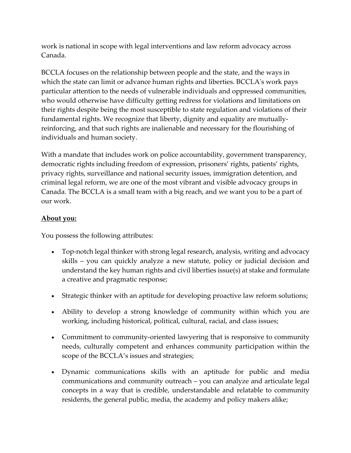work is national in scope with legal interventions and law reform advocacy across Canada.

BCCLA focuses on the relationship between people and the state, and the ways in which the state can limit or advance human rights and liberties. BCCLA's work pays particular attention to the needs of vulnerable individuals and oppressed communities, who would otherwise have difficulty getting redress for violations and limitations on their rights despite being the most susceptible to state regulation and violations of their fundamental rights. We recognize that liberty, dignity and equality are mutuallyreinforcing, and that such rights are inalienable and necessary for the flourishing of individuals and human society.

With a mandate that includes work on police accountability, government transparency, democratic rights including freedom of expression, prisoners' rights, patients' rights, privacy rights, surveillance and national security issues, immigration detention, and criminal legal reform, we are one of the most vibrant and visible advocacy groups in Canada. The BCCLA is a small team with a big reach, and we want you to be a part of our work.

## **About you:**

You possess the following attributes:

- Top-notch legal thinker with strong legal research, analysis, writing and advocacy skills – you can quickly analyze a new statute, policy or judicial decision and understand the key human rights and civil liberties issue(s) at stake and formulate a creative and pragmatic response;
- Strategic thinker with an aptitude for developing proactive law reform solutions;
- Ability to develop a strong knowledge of community within which you are working, including historical, political, cultural, racial, and class issues;
- Commitment to community-oriented lawyering that is responsive to community needs, culturally competent and enhances community participation within the scope of the BCCLA's issues and strategies;
- Dynamic communications skills with an aptitude for public and media communications and community outreach – you can analyze and articulate legal concepts in a way that is credible, understandable and relatable to community residents, the general public, media, the academy and policy makers alike;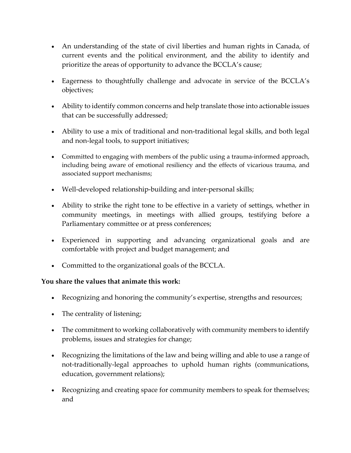- An understanding of the state of civil liberties and human rights in Canada, of current events and the political environment, and the ability to identify and prioritize the areas of opportunity to advance the BCCLA's cause;
- Eagerness to thoughtfully challenge and advocate in service of the BCCLA's objectives;
- Ability to identify common concerns and help translate those into actionable issues that can be successfully addressed;
- Ability to use a mix of traditional and non-traditional legal skills, and both legal and non-legal tools, to support initiatives;
- Committed to engaging with members of the public using a trauma-informed approach, including being aware of emotional resiliency and the effects of vicarious trauma, and associated support mechanisms;
- Well-developed relationship-building and inter-personal skills;
- Ability to strike the right tone to be effective in a variety of settings, whether in community meetings, in meetings with allied groups, testifying before a Parliamentary committee or at press conferences;
- Experienced in supporting and advancing organizational goals and are comfortable with project and budget management; and
- Committed to the organizational goals of the BCCLA.

## **You share the values that animate this work:**

- Recognizing and honoring the community's expertise, strengths and resources;
- The centrality of listening;
- The commitment to working collaboratively with community members to identify problems, issues and strategies for change;
- Recognizing the limitations of the law and being willing and able to use a range of not-traditionally-legal approaches to uphold human rights (communications, education, government relations);
- Recognizing and creating space for community members to speak for themselves; and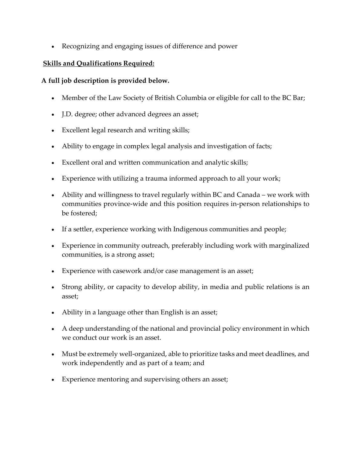• Recognizing and engaging issues of difference and power

## **Skills and Qualifications Required:**

## **A full job description is provided below.**

- Member of the Law Society of British Columbia or eligible for call to the BC Bar;
- J.D. degree; other advanced degrees an asset;
- Excellent legal research and writing skills;
- Ability to engage in complex legal analysis and investigation of facts;
- Excellent oral and written communication and analytic skills;
- Experience with utilizing a trauma informed approach to all your work;
- Ability and willingness to travel regularly within BC and Canada we work with communities province-wide and this position requires in-person relationships to be fostered;
- If a settler, experience working with Indigenous communities and people;
- Experience in community outreach, preferably including work with marginalized communities, is a strong asset;
- Experience with casework and/or case management is an asset;
- Strong ability, or capacity to develop ability, in media and public relations is an asset;
- Ability in a language other than English is an asset;
- A deep understanding of the national and provincial policy environment in which we conduct our work is an asset.
- Must be extremely well-organized, able to prioritize tasks and meet deadlines, and work independently and as part of a team; and
- Experience mentoring and supervising others an asset;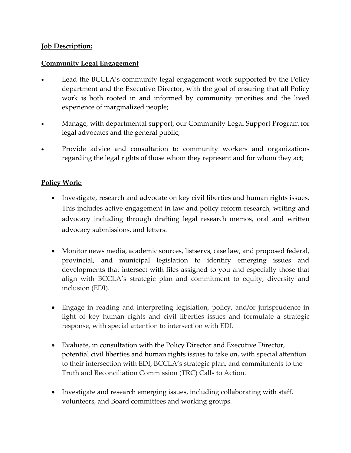## **Job Description:**

## **Community Legal Engagement**

- Lead the BCCLA's community legal engagement work supported by the Policy department and the Executive Director, with the goal of ensuring that all Policy work is both rooted in and informed by community priorities and the lived experience of marginalized people;
- Manage, with departmental support, our Community Legal Support Program for legal advocates and the general public;
- Provide advice and consultation to community workers and organizations regarding the legal rights of those whom they represent and for whom they act;

#### **Policy Work:**

- Investigate, research and advocate on key civil liberties and human rights issues. This includes active engagement in law and policy reform research, writing and advocacy including through drafting legal research memos, oral and written advocacy submissions, and letters.
- Monitor news media, academic sources, listservs, case law, and proposed federal, provincial, and municipal legislation to identify emerging issues and developments that intersect with files assigned to you and especially those that align with BCCLA's strategic plan and commitment to equity, diversity and inclusion (EDI).
- Engage in reading and interpreting legislation, policy, and/or jurisprudence in light of key human rights and civil liberties issues and formulate a strategic response, with special attention to intersection with EDI.
- Evaluate, in consultation with the Policy Director and Executive Director, potential civil liberties and human rights issues to take on, with special attention to their intersection with EDI, BCCLA's strategic plan, and commitments to the Truth and Reconciliation Commission (TRC) Calls to Action.
- Investigate and research emerging issues, including collaborating with staff, volunteers, and Board committees and working groups.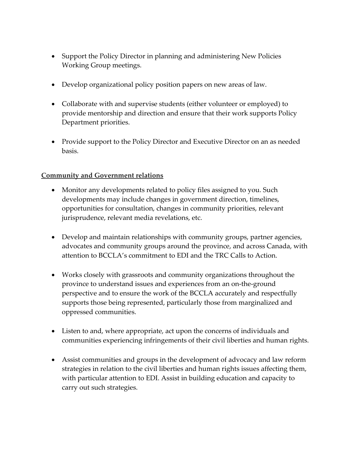- Support the Policy Director in planning and administering New Policies Working Group meetings.
- Develop organizational policy position papers on new areas of law.
- Collaborate with and supervise students (either volunteer or employed) to provide mentorship and direction and ensure that their work supports Policy Department priorities.
- Provide support to the Policy Director and Executive Director on an as needed basis.

## **Community and Government relations**

- Monitor any developments related to policy files assigned to you. Such developments may include changes in government direction, timelines, opportunities for consultation, changes in community priorities, relevant jurisprudence, relevant media revelations, etc.
- Develop and maintain relationships with community groups, partner agencies, advocates and community groups around the province, and across Canada, with attention to BCCLA's commitment to EDI and the TRC Calls to Action.
- Works closely with grassroots and community organizations throughout the province to understand issues and experiences from an on-the-ground perspective and to ensure the work of the BCCLA accurately and respectfully supports those being represented, particularly those from marginalized and oppressed communities.
- Listen to and, where appropriate, act upon the concerns of individuals and communities experiencing infringements of their civil liberties and human rights.
- Assist communities and groups in the development of advocacy and law reform strategies in relation to the civil liberties and human rights issues affecting them, with particular attention to EDI. Assist in building education and capacity to carry out such strategies.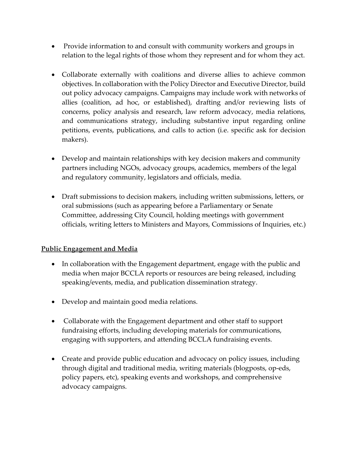- Provide information to and consult with community workers and groups in relation to the legal rights of those whom they represent and for whom they act.
- Collaborate externally with coalitions and diverse allies to achieve common objectives. In collaboration with the Policy Director and Executive Director, build out policy advocacy campaigns. Campaigns may include work with networks of allies (coalition, ad hoc, or established), drafting and/or reviewing lists of concerns, policy analysis and research, law reform advocacy, media relations, and communications strategy, including substantive input regarding online petitions, events, publications, and calls to action (i.e. specific ask for decision makers).
- Develop and maintain relationships with key decision makers and community partners including NGOs, advocacy groups, academics, members of the legal and regulatory community, legislators and officials, media.
- Draft submissions to decision makers, including written submissions, letters, or oral submissions (such as appearing before a Parliamentary or Senate Committee, addressing City Council, holding meetings with government officials, writing letters to Ministers and Mayors, Commissions of Inquiries, etc.)

# **Public Engagement and Media**

- In collaboration with the Engagement department, engage with the public and media when major BCCLA reports or resources are being released, including speaking/events, media, and publication dissemination strategy.
- Develop and maintain good media relations.
- Collaborate with the Engagement department and other staff to support fundraising efforts, including developing materials for communications, engaging with supporters, and attending BCCLA fundraising events.
- Create and provide public education and advocacy on policy issues, including through digital and traditional media, writing materials (blogposts, op-eds, policy papers, etc), speaking events and workshops, and comprehensive advocacy campaigns.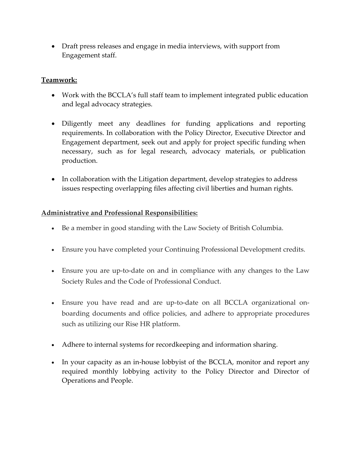• Draft press releases and engage in media interviews, with support from Engagement staff.

## **Teamwork:**

- Work with the BCCLA's full staff team to implement integrated public education and legal advocacy strategies.
- Diligently meet any deadlines for funding applications and reporting requirements. In collaboration with the Policy Director, Executive Director and Engagement department, seek out and apply for project specific funding when necessary, such as for legal research, advocacy materials, or publication production.
- In collaboration with the Litigation department, develop strategies to address issues respecting overlapping files affecting civil liberties and human rights.

## **Administrative and Professional Responsibilities:**

- Be a member in good standing with the Law Society of British Columbia.
- Ensure you have completed your Continuing Professional Development credits.
- Ensure you are up-to-date on and in compliance with any changes to the Law Society Rules and the Code of Professional Conduct.
- Ensure you have read and are up-to-date on all BCCLA organizational onboarding documents and office policies, and adhere to appropriate procedures such as utilizing our Rise HR platform.
- Adhere to internal systems for recordkeeping and information sharing.
- In your capacity as an in-house lobby ist of the BCCLA, monitor and report any required monthly lobbying activity to the Policy Director and Director of Operations and People.